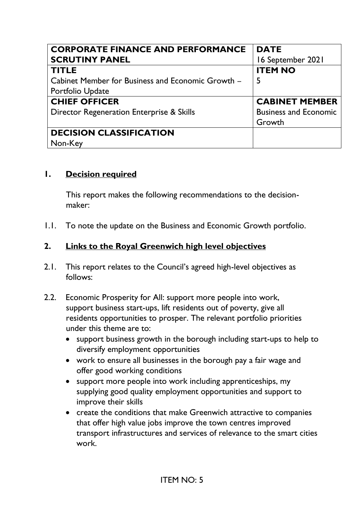| <b>CORPORATE FINANCE AND PERFORMANCE</b>          | <b>DATE</b>                  |
|---------------------------------------------------|------------------------------|
| <b>SCRUTINY PANEL</b>                             | 16 September 2021            |
| <b>TITLE</b>                                      | <b>ITEM NO</b>               |
| Cabinet Member for Business and Economic Growth - | 5                            |
| Portfolio Update                                  |                              |
| <b>CHIEF OFFICER</b>                              | <b>CABINET MEMBER</b>        |
| Director Regeneration Enterprise & Skills         | <b>Business and Economic</b> |
|                                                   | Growth                       |
| <b>DECISION CLASSIFICATION</b>                    |                              |
| Non-Key                                           |                              |

#### **1. Decision required**

This report makes the following recommendations to the decisionmaker:

1.1. To note the update on the Business and Economic Growth portfolio.

#### **2. Links to the Royal Greenwich high level objectives**

- 2.1. This report relates to the Council's agreed high-level objectives as follows:
- 2.2. Economic Prosperity for All: support more people into work, support business start-ups, lift residents out of poverty, give all residents opportunities to prosper. The relevant portfolio priorities under this theme are to:
	- support business growth in the borough including start-ups to help to diversify employment opportunities
	- work to ensure all businesses in the borough pay a fair wage and offer good working conditions
	- support more people into work including apprenticeships, my supplying good quality employment opportunities and support to improve their skills
	- create the conditions that make Greenwich attractive to companies that offer high value jobs improve the town centres improved transport infrastructures and services of relevance to the smart cities work.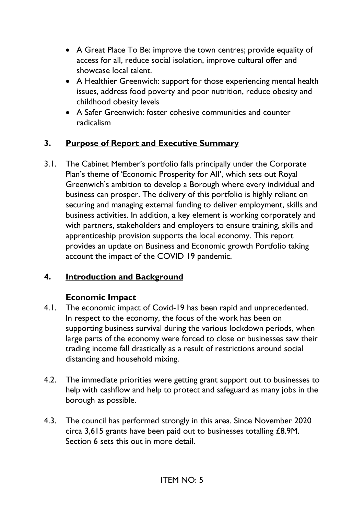- A Great Place To Be: improve the town centres; provide equality of access for all, reduce social isolation, improve cultural offer and showcase local talent.
- A Healthier Greenwich: support for those experiencing mental health issues, address food poverty and poor nutrition, reduce obesity and childhood obesity levels
- A Safer Greenwich: foster cohesive communities and counter radicalism

## **3. Purpose of Report and Executive Summary**

3.1. The Cabinet Member's portfolio falls principally under the Corporate Plan's theme of 'Economic Prosperity for All', which sets out Royal Greenwich's ambition to develop a Borough where every individual and business can prosper. The delivery of this portfolio is highly reliant on securing and managing external funding to deliver employment, skills and business activities. In addition, a key element is working corporately and with partners, stakeholders and employers to ensure training, skills and apprenticeship provision supports the local economy. This report provides an update on Business and Economic growth Portfolio taking account the impact of the COVID 19 pandemic.

#### **4. Introduction and Background**

#### **Economic Impact**

- 4.1. The economic impact of Covid-19 has been rapid and unprecedented. In respect to the economy, the focus of the work has been on supporting business survival during the various lockdown periods, when large parts of the economy were forced to close or businesses saw their trading income fall drastically as a result of restrictions around social distancing and household mixing.
- 4.2. The immediate priorities were getting grant support out to businesses to help with cashflow and help to protect and safeguard as many jobs in the borough as possible.
- 4.3. The council has performed strongly in this area. Since November 2020 circa 3,615 grants have been paid out to businesses totalling £8.9M. Section 6 sets this out in more detail.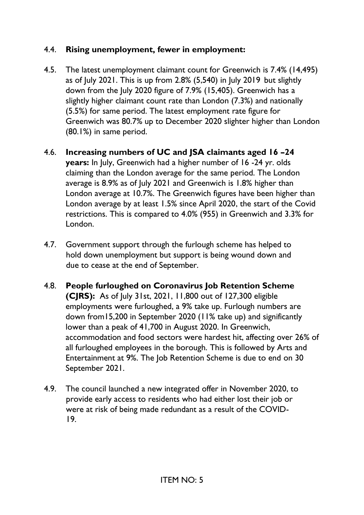## 4.4. **Rising unemployment, fewer in employment:**

- 4.5. The latest unemployment claimant count for Greenwich is 7.4% (14,495) as of July 2021. This is up from 2.8% (5,540) in July 2019 but slightly down from the July 2020 figure of 7.9% (15,405). Greenwich has a slightly higher claimant count rate than London (7.3%) and nationally (5.5%) for same period. The latest employment rate figure for Greenwich was 80.7% up to December 2020 slighter higher than London (80.1%) in same period.
- 4.6. **Increasing numbers of UC and JSA claimants aged 16 –24 years:** In July, Greenwich had a higher number of 16 -24 yr. olds claiming than the London average for the same period. The London average is 8.9% as of July 2021 and Greenwich is 1.8% higher than London average at 10.7%. The Greenwich figures have been higher than London average by at least 1.5% since April 2020, the start of the Covid restrictions. This is compared to 4.0% (955) in Greenwich and 3.3% for London.
- 4.7. Government support through the furlough scheme has helped to hold down unemployment but support is being wound down and due to cease at the end of September.
- 4.8. **People furloughed on Coronavirus Job Retention Scheme (CJRS):** As of July 31st, 2021, 11,800 out of 127,300 eligible employments were furloughed, a 9% take up. Furlough numbers are down from15,200 in September 2020 (11% take up) and significantly lower than a peak of 41,700 in August 2020. In Greenwich, accommodation and food sectors were hardest hit, affecting over 26% of all furloughed employees in the borough. This is followed by Arts and Entertainment at 9%. The Job Retention Scheme is due to end on 30 September 2021.
- 4.9. The council launched a new integrated offer in November 2020, to provide early access to residents who had either lost their job or were at risk of being made redundant as a result of the COVID- 19.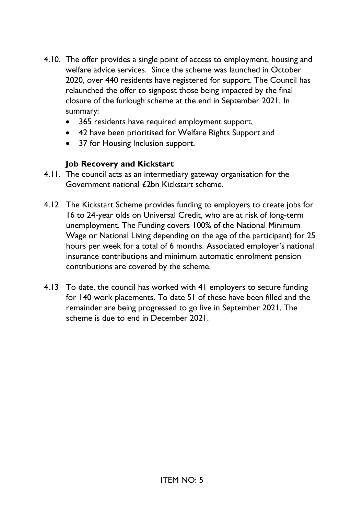- 4.10. The offer provides a single point of access to employment, housing and welfare advice services. Since the scheme was launched in October 2020, over 440 residents have registered for support. The Council has relaunched the offer to signpost those being impacted by the final closure of the furlough scheme at the end in September 2021. In summary:
	- 365 residents have required employment support,
	- 42 have been prioritised for Welfare Rights Support and
	- 37 for Housing Inclusion support.

#### **Job Recovery and Kickstart**

- 4.11. The council acts as an intermediary gateway organisation for the Government national £2bn Kickstart scheme.
- 4.12 The Kickstart Scheme provides funding to employers to create jobs for 16 to 24-year olds on Universal Credit, who are at risk of long-term unemployment. The Funding covers 100% of the National Minimum Wage or National Living depending on the age of the participant) for 25 hours per week for a total of 6 months. Associated employer's national insurance contributions and minimum automatic enrolment pension contributions are covered by the scheme.
- 4.13 To date, the council has worked with 41 employers to secure funding for 140 work placements. To date 51 of these have been filled and the remainder are being progressed to go live in September 2021. The scheme is due to end in December 2021.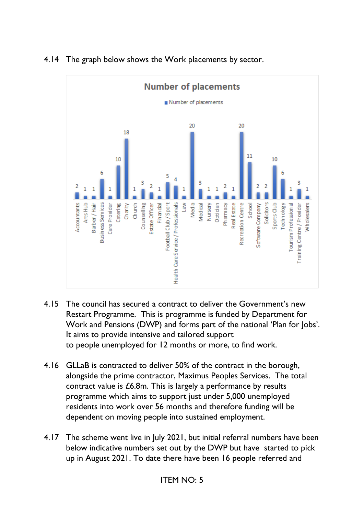

#### 4.14 The graph below shows the Work placements by sector.

- 4.15 The council has secured a contract to deliver the Government's new Restart Programme. This is programme is funded by Department for Work and Pensions (DWP) and forms part of the national 'Plan for Jobs'. It aims to provide intensive and tailored support to people unemployed for 12 months or more, to find work.
- 4.16 GLLaB is contracted to deliver 50% of the contract in the borough, alongside the prime contractor, Maximus Peoples Services. The total contract value is £6.8m. This is largely a performance by results programme which aims to support just under 5,000 unemployed residents into work over 56 months and therefore funding will be dependent on moving people into sustained employment.
- 4.17 The scheme went live in July 2021, but initial referral numbers have been below indicative numbers set out by the DWP but have started to pick up in August 2021. To date there have been 16 people referred and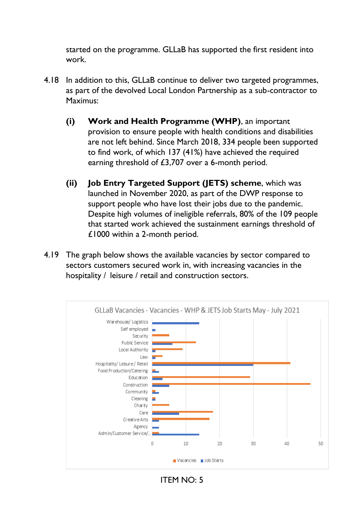started on the programme. GLLaB has supported the first resident into work.

- 4.18 In addition to this, GLLaB continue to deliver two targeted programmes, as part of the devolved Local London Partnership as a sub-contractor to Maximus:
	- **(i) Work and Health Programme (WHP)**, an important provision to ensure people with health conditions and disabilities are not left behind. Since March 2018, 334 people been supported to find work, of which 137 (41%) have achieved the required earning threshold of £3,707 over a 6-month period.
	- **(ii) Job Entry Targeted Support (JETS) scheme**, which was launched in November 2020, as part of the DWP response to support people who have lost their jobs due to the pandemic. Despite high volumes of ineligible referrals, 80% of the 109 people that started work achieved the sustainment earnings threshold of £1000 within a 2-month period.
- 4.19 The graph below shows the available vacancies by sector compared to sectors customers secured work in, with increasing vacancies in the hospitality / leisure / retail and construction sectors.



ITEM NO: 5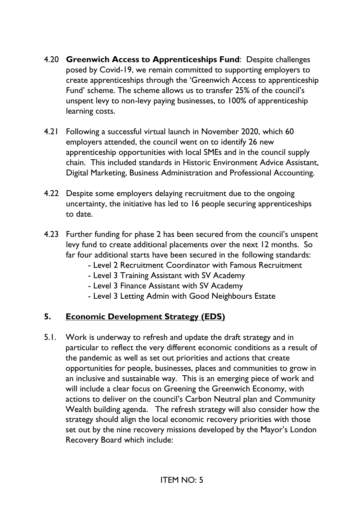- 4.20 **Greenwich Access to Apprenticeships Fund**: Despite challenges posed by Covid-19, we remain committed to supporting employers to create apprenticeships through the 'Greenwich Access to apprenticeship Fund' scheme. The scheme allows us to transfer 25% of the council's unspent levy to non-levy paying businesses, to 100% of apprenticeship learning costs.
- 4.21 Following a successful virtual launch in November 2020, which 60 employers attended, the council went on to identify 26 new apprenticeship opportunities with local SMEs and in the council supply chain. This included standards in Historic Environment Advice Assistant, Digital Marketing, Business Administration and Professional Accounting.
- 4.22 Despite some employers delaying recruitment due to the ongoing uncertainty, the initiative has led to 16 people securing apprenticeships to date.
- 4.23 Further funding for phase 2 has been secured from the council's unspent levy fund to create additional placements over the next 12 months. So far four additional starts have been secured in the following standards:
	- Level 2 Recruitment Coordinator with Famous Recruitment
	- Level 3 Training Assistant with SV Academy
	- Level 3 Finance Assistant with SV Academy
	- Level 3 Letting Admin with Good Neighbours Estate

#### **5. Economic Development Strategy (EDS)**

5.1. Work is underway to refresh and update the draft strategy and in particular to reflect the very different economic conditions as a result of the pandemic as well as set out priorities and actions that create opportunities for people, businesses, places and communities to grow in an inclusive and sustainable way. This is an emerging piece of work and will include a clear focus on Greening the Greenwich Economy, with actions to deliver on the council's Carbon Neutral plan and Community Wealth building agenda. The refresh strategy will also consider how the strategy should align the local economic recovery priorities with those set out by the nine recovery missions developed by the Mayor's London Recovery Board which include: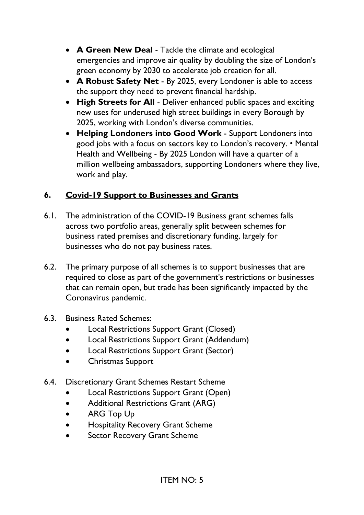- **A Green New Deal** Tackle the climate and ecological emergencies and improve air quality by doubling the size of London's green economy by 2030 to accelerate job creation for all.
- **A Robust Safety Net** By 2025, every Londoner is able to access the support they need to prevent financial hardship.
- **High Streets for All** Deliver enhanced public spaces and exciting new uses for underused high street buildings in every Borough by 2025, working with London's diverse communities.
- **Helping Londoners into Good Work** Support Londoners into good jobs with a focus on sectors key to London's recovery. • Mental Health and Wellbeing - By 2025 London will have a quarter of a million wellbeing ambassadors, supporting Londoners where they live, work and play.

## **6. Covid-19 Support to Businesses and Grants**

- 6.1. The administration of the COVID-19 Business grant schemes falls across two portfolio areas, generally split between schemes for business rated premises and discretionary funding, largely for businesses who do not pay business rates.
- 6.2. The primary purpose of all schemes is to support businesses that are required to close as part of the government's restrictions or businesses that can remain open, but trade has been significantly impacted by the Coronavirus pandemic.
- 6.3. Business Rated Schemes:
	- Local Restrictions Support Grant (Closed)
	- Local Restrictions Support Grant (Addendum)
	- Local Restrictions Support Grant (Sector)
	- Christmas Support
- 6.4. Discretionary Grant Schemes Restart Scheme
	- Local Restrictions Support Grant (Open)
	- Additional Restrictions Grant (ARG)
	- ARG Top Up
	- Hospitality Recovery Grant Scheme
	- Sector Recovery Grant Scheme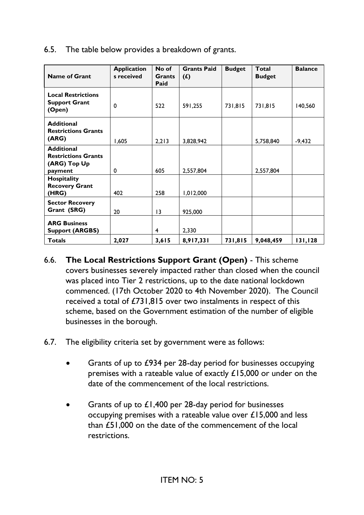| 6.5. The table below provides a breakdown of grants. |  |  |
|------------------------------------------------------|--|--|
|                                                      |  |  |

| <b>Name of Grant</b>                                                       | <b>Application</b><br>s received | No of<br><b>Grants</b><br>Paid | <b>Grants Paid</b><br>$(f)$ | <b>Budget</b> | Total<br><b>Budget</b> | <b>Balance</b> |
|----------------------------------------------------------------------------|----------------------------------|--------------------------------|-----------------------------|---------------|------------------------|----------------|
| <b>Local Restrictions</b><br><b>Support Grant</b><br>(Open)                | 0                                | 522                            | 591,255                     | 731,815       | 731,815                | 140,560        |
| <b>Additional</b><br><b>Restrictions Grants</b><br>(ARG)                   | 1,605                            | 2,213                          | 3,828,942                   |               | 5,758,840              | $-9,432$       |
| <b>Additional</b><br><b>Restrictions Grants</b><br>(ARG) Top Up<br>payment | 0                                | 605                            | 2,557,804                   |               | 2,557,804              |                |
| Hospitality<br><b>Recovery Grant</b><br>(HRG)                              | 402                              | 258                            | 1,012,000                   |               |                        |                |
| <b>Sector Recovery</b><br>Grant (SRG)                                      | 20                               | $\overline{13}$                | 925,000                     |               |                        |                |
| <b>ARG Business</b><br><b>Support (ARGBS)</b>                              |                                  | 4                              | 2,330                       |               |                        |                |
| <b>Totals</b>                                                              | 2,027                            | 3,615                          | 8,917,331                   | 731,815       | 9,048,459              | 131,128        |

- 6.6. **The Local Restrictions Support Grant (Open)** This scheme covers businesses severely impacted rather than closed when the council was placed into Tier 2 restrictions, up to the date national lockdown commenced. (17th October 2020 to 4th November 2020). The Council received a total of £731,815 over two instalments in respect of this scheme, based on the Government estimation of the number of eligible businesses in the borough.
- 6.7. The eligibility criteria set by government were as follows:
	- Grants of up to £934 per 28-day period for businesses occupying premises with a rateable value of exactly £15,000 or under on the date of the commencement of the local restrictions.
	- Grants of up to  $£1,400$  per 28-day period for businesses occupying premises with a rateable value over £15,000 and less than £51,000 on the date of the commencement of the local restrictions.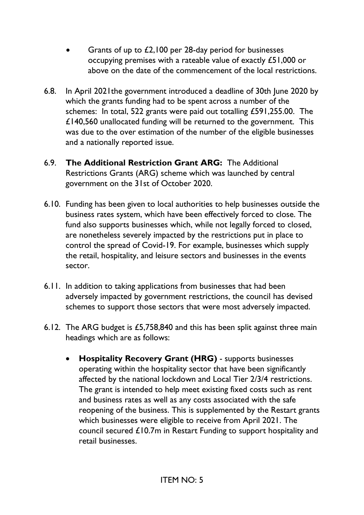- Grants of up to £2,100 per 28-day period for businesses occupying premises with a rateable value of exactly £51,000 or above on the date of the commencement of the local restrictions.
- 6.8. In April 2021the government introduced a deadline of 30th June 2020 by which the grants funding had to be spent across a number of the schemes: In total, 522 grants were paid out totalling £591,255.00. The £140,560 unallocated funding will be returned to the government. This was due to the over estimation of the number of the eligible businesses and a nationally reported issue.
- 6.9. **The Additional Restriction Grant ARG:** The Additional Restrictions Grants (ARG) scheme which was launched by central government on the 31st of October 2020.
- 6.10. Funding has been given to local authorities to help businesses outside the business rates system, which have been effectively forced to close. The fund also supports businesses which, while not legally forced to closed, are nonetheless severely impacted by the restrictions put in place to control the spread of Covid-19. For example, businesses which supply the retail, hospitality, and leisure sectors and businesses in the events sector.
- 6.11. In addition to taking applications from businesses that had been adversely impacted by government restrictions, the council has devised schemes to support those sectors that were most adversely impacted.
- 6.12. The ARG budget is £5,758,840 and this has been split against three main headings which are as follows:
	- **Hospitality Recovery Grant (HRG)** supports businesses operating within the hospitality sector that have been significantly affected by the national lockdown and Local Tier 2/3/4 restrictions. The grant is intended to help meet existing fixed costs such as rent and business rates as well as any costs associated with the safe reopening of the business. This is supplemented by the Restart grants which businesses were eligible to receive from April 2021. The council secured £10.7m in Restart Funding to support hospitality and retail businesses.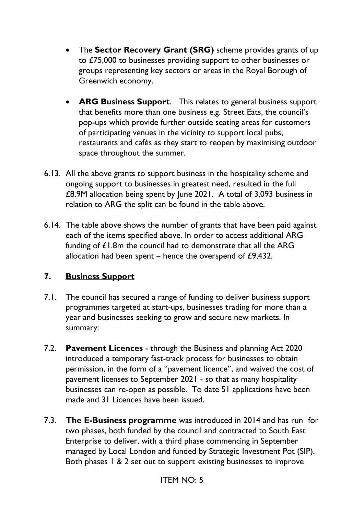- The **Sector Recovery Grant (SRG)** scheme provides grants of up to £75,000 to businesses providing support to other businesses or groups representing key sectors or areas in the Royal Borough of Greenwich economy.
- **ARG Business Support**. This relates to general business support that benefits more than one business e.g. Street Eats, the council's pop-ups which provide further outside seating areas for customers of participating venues in the vicinity to support local pubs, restaurants and cafés as they start to reopen by maximising outdoor space throughout the summer.
- 6.13. All the above grants to support business in the hospitality scheme and ongoing support to businesses in greatest need, resulted in the full £8.9M allocation being spent by June 2021. A total of 3,093 business in relation to ARG the split can be found in the table above.
- 6.14. The table above shows the number of grants that have been paid against each of the items specified above. In order to access additional ARG funding of £1.8m the council had to demonstrate that all the ARG allocation had been spent – hence the overspend of £9,432.

#### **7. Business Support**

- 7.1. The council has secured a range of funding to deliver business support programmes targeted at start-ups, businesses trading for more than a year and businesses seeking to grow and secure new markets. In summary:
- 7.2. **Pavement Licences** through the Business and planning Act 2020 introduced a temporary fast-track process for businesses to obtain permission, in the form of a "pavement licence", and waived the cost of pavement licenses to September 2021 - so that as many hospitality businesses can re-open as possible. To date 51 applications have been made and 31 Licences have been issued.
- 7.3. **The E-Business programme** was introduced in 2014 and has run for two phases, both funded by the council and contracted to South East Enterprise to deliver, with a third phase commencing in September managed by Local London and funded by Strategic Investment Pot (SIP). Both phases 1 & 2 set out to support existing businesses to improve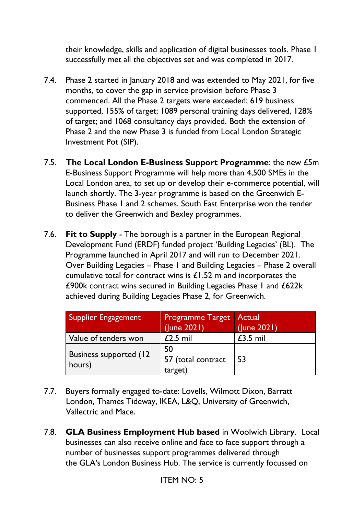their knowledge, skills and application of digital businesses tools. Phase 1 successfully met all the objectives set and was completed in 2017.

- 7.4. Phase 2 started in January 2018 and was extended to May 2021, for five months, to cover the gap in service provision before Phase 3 commenced. All the Phase 2 targets were exceeded; 619 business supported, 155% of target; 1089 personal training days delivered, 128% of target; and 1068 consultancy days provided. Both the extension of Phase 2 and the new Phase 3 is funded from Local London Strategic Investment Pot (SIP).
- 7.5. **The Local London E-Business Support Programme**: the new £5m E-Business Support Programme will help more than 4,500 SMEs in the Local London area, to set up or develop their e-commerce potential, will launch shortly. The 3-year programme is based on the Greenwich E-Business Phase 1 and 2 schemes. South East Enterprise won the tender to deliver the Greenwich and Bexley programmes.
- 7.6. **Fit to Supply** The borough is a partner in the European Regional Development Fund (ERDF) funded project 'Building Legacies' (BL). The Programme launched in April 2017 and will run to December 2021. Over Building Legacies – Phase 1 and Building Legacies – Phase 2 overall cumulative total for contract wins is £1.52 m and incorporates the £900k contract wins secured in Building Legacies Phase 1 and £622k achieved during Building Legacies Phase 2, for Greenwich.

| <b>Supplier Engagement</b>               | <b>Programme Target Actual</b><br>(June 2021) | (June 2021) |
|------------------------------------------|-----------------------------------------------|-------------|
| Value of tenders won                     | $£2.5$ mil                                    | $£3.5$ mil  |
| <b>Business supported (12)</b><br>hours) | 50<br>57 (total contract<br>target)           | 53          |

- 7.7. Buyers formally engaged to-date: Lovells, Wilmott Dixon, Barratt London, Thames Tideway, IKEA, L&Q, University of Greenwich, Vallectric and Mace.
- 7.8. **GLA Business Employment Hub based** in Woolwich Librar**y**. Local businesses can also receive online and face to face support through a number of businesses support programmes delivered through the GLA's London Business Hub. The service is currently focussed on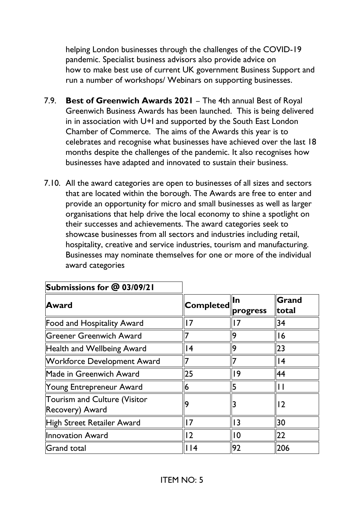helping London businesses through the challenges of the COVID-19 pandemic. Specialist business advisors also provide advice on how to make best use of current UK government Business Support and run a number of workshops/ Webinars on supporting businesses.

- 7.9. **Best of Greenwich Awards 2021** The 4th annual Best of Royal Greenwich Business Awards has been launched. This is being delivered in in association with U+I and supported by the [South East London](https://www.selondonchamber.org/)  [Chamber of Commerce.](https://www.selondonchamber.org/) The aims of the Awards this year is to celebrates and recognise what businesses have achieved over the last 18 months despite the challenges of the pandemic. It also recognises how businesses have adapted and innovated to sustain their business.
- 7.10. All the award categories are open to businesses of all sizes and sectors that are located within the borough. The Awards are free to enter and provide an opportunity for micro and small businesses as well as larger organisations that help drive the local economy to shine a spotlight on their successes and achievements. The award categories seek to showcase businesses from all sectors and industries including retail, hospitality, creative and service industries, tourism and manufacturing. Businesses may nominate themselves for one or more of the individual award categories

| Submissions for @ ပ3/09/21                             |                   |                 |                       |  |
|--------------------------------------------------------|-------------------|-----------------|-----------------------|--|
| <b>Award</b>                                           | $ {\sf Complete}$ | lln<br>progress | Grand<br><b>total</b> |  |
| <b>Food and Hospitality Award</b>                      | 7                 |                 | 34                    |  |
| Greener Greenwich Award                                |                   | 19              | 16                    |  |
| <b>Health and Wellbeing Award</b>                      | 4                 | 19              | 23                    |  |
| <b>Workforce Development Award</b>                     | 7                 |                 | 4                     |  |
| Made in Greenwich Award                                | 25                | ۱9              | 44                    |  |
| Young Entrepreneur Award                               | 6                 | 5               | Н                     |  |
| <b>Tourism and Culture (Visitor</b><br>Recovery) Award | 9                 |                 | 2                     |  |
| High Street Retailer Award                             | $\overline{7}$    | I3              | 30                    |  |
| <b>Innovation Award</b>                                | 12                | $\overline{0}$  | 22                    |  |
| <b>Grand total</b>                                     | $ $  4            | 92              | 206                   |  |

**Submissions for @ 03/09/21**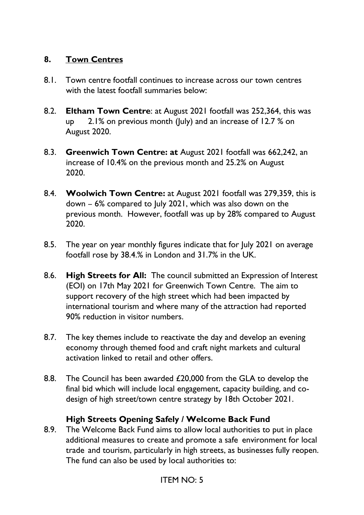#### **8. Town Centres**

- 8.1. Town centre footfall continues to increase across our town centres with the latest footfall summaries below:
- 8.2. **Eltham Town Centre**: at August 2021 footfall was 252,364, this was up 2.1% on previous month (July) and an increase of 12.7 % on August 2020.
- 8.3. **Greenwich Town Centre: at** August 2021 footfall was 662,242, an increase of 10.4% on the previous month and 25.2% on August 2020.
- 8.4. **Woolwich Town Centre:** at August 2021 footfall was 279,359, this is down – 6% compared to July 2021, which was also down on the previous month. However, footfall was up by 28% compared to August 2020.
- 8.5. The year on year monthly figures indicate that for July 2021 on average footfall rose by 38.4.% in London and 31.7% in the UK.
- 8.6. **High Streets for All:** The council submitted an Expression of Interest (EOI) on 17th May 2021 for Greenwich Town Centre. The aim to support recovery of the high street which had been impacted by international tourism and where many of the attraction had reported 90% reduction in visitor numbers.
- 8.7. The key themes include to reactivate the day and develop an evening economy through themed food and craft night markets and cultural activation linked to retail and other offers.
- 8.8. The Council has been awarded £20,000 from the GLA to develop the final bid which will include local engagement, capacity building, and codesign of high street/town centre strategy by 18th October 2021.

#### **High Streets Opening Safely / Welcome Back Fund**

8.9. The Welcome Back Fund aims to allow local authorities to put in place additional measures to create and promote a safe environment for local trade and tourism, particularly in high streets, as businesses fully reopen. The fund can also be used by local authorities to: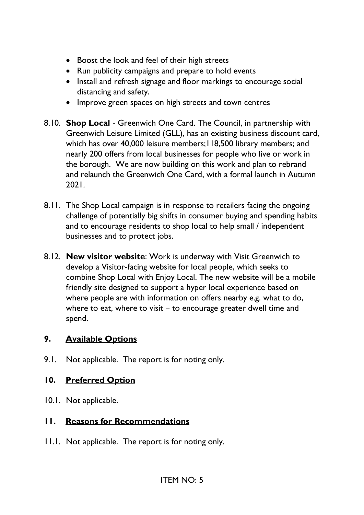- Boost the look and feel of their high streets
- Run publicity campaigns and prepare to hold events
- Install and refresh signage and floor markings to encourage social distancing and safety.
- Improve green spaces on high streets and town centres
- 8.10. **Shop Local** Greenwich One Card. The Council, in partnership with Greenwich Leisure Limited (GLL), has an existing business discount card, which has over 40,000 leisure members;118,500 library members; and nearly 200 offers from local businesses for people who live or work in the borough. We are now building on this work and plan to rebrand and relaunch the Greenwich One Card, with a formal launch in Autumn 2021.
- 8.11. The Shop Local campaign is in response to retailers facing the ongoing challenge of potentially big shifts in consumer buying and spending habits and to encourage residents to shop local to help small / independent businesses and to protect jobs.
- 8.12. **New visitor website**: Work is underway with Visit Greenwich to develop a Visitor-facing website for local people, which seeks to combine Shop Local with Enjoy Local. The new website will be a mobile friendly site designed to support a hyper local experience based on where people are with information on offers nearby e.g. what to do, where to eat, where to visit – to encourage greater dwell time and spend.

#### **9. Available Options**

9.1. Not applicable. The report is for noting only.

#### **10. Preferred Option**

10.1. Not applicable.

#### **11. Reasons for Recommendations**

11.1. Not applicable. The report is for noting only.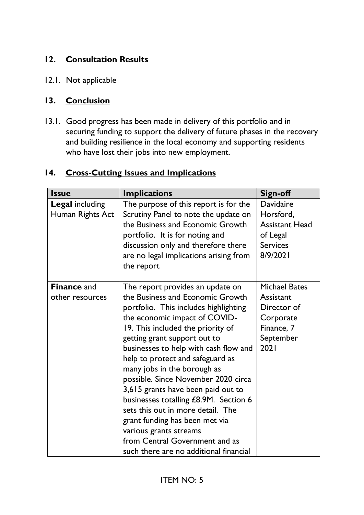## **12. Consultation Results**

12.1. Not applicable

#### **13. Conclusion**

13.1. Good progress has been made in delivery of this portfolio and in securing funding to support the delivery of future phases in the recovery and building resilience in the local economy and supporting residents who have lost their jobs into new employment.

#### **14. Cross-Cutting Issues and Implications**

| <b>Issue</b>                               | <b>Implications</b>                                                                                                                                                                                                                                                                                                                                                                                                                                                                                                                                                                                                                | <b>Sign-off</b>                                                                                  |
|--------------------------------------------|------------------------------------------------------------------------------------------------------------------------------------------------------------------------------------------------------------------------------------------------------------------------------------------------------------------------------------------------------------------------------------------------------------------------------------------------------------------------------------------------------------------------------------------------------------------------------------------------------------------------------------|--------------------------------------------------------------------------------------------------|
| <b>Legal including</b><br>Human Rights Act | The purpose of this report is for the<br>Scrutiny Panel to note the update on<br>the Business and Economic Growth<br>portfolio. It is for noting and<br>discussion only and therefore there<br>are no legal implications arising from<br>the report                                                                                                                                                                                                                                                                                                                                                                                | Davidaire<br>Horsford,<br><b>Assistant Head</b><br>of Legal<br><b>Services</b><br>8/9/2021       |
| <b>Finance and</b><br>other resources      | The report provides an update on<br>the Business and Economic Growth<br>portfolio. This includes highlighting<br>the economic impact of COVID-<br>19. This included the priority of<br>getting grant support out to<br>businesses to help with cash flow and<br>help to protect and safeguard as<br>many jobs in the borough as<br>possible. Since November 2020 circa<br>3,615 grants have been paid out to<br>businesses totalling £8.9M. Section 6<br>sets this out in more detail. The<br>grant funding has been met via<br>various grants streams<br>from Central Government and as<br>such there are no additional financial | <b>Michael Bates</b><br>Assistant<br>Director of<br>Corporate<br>Finance, 7<br>September<br>2021 |